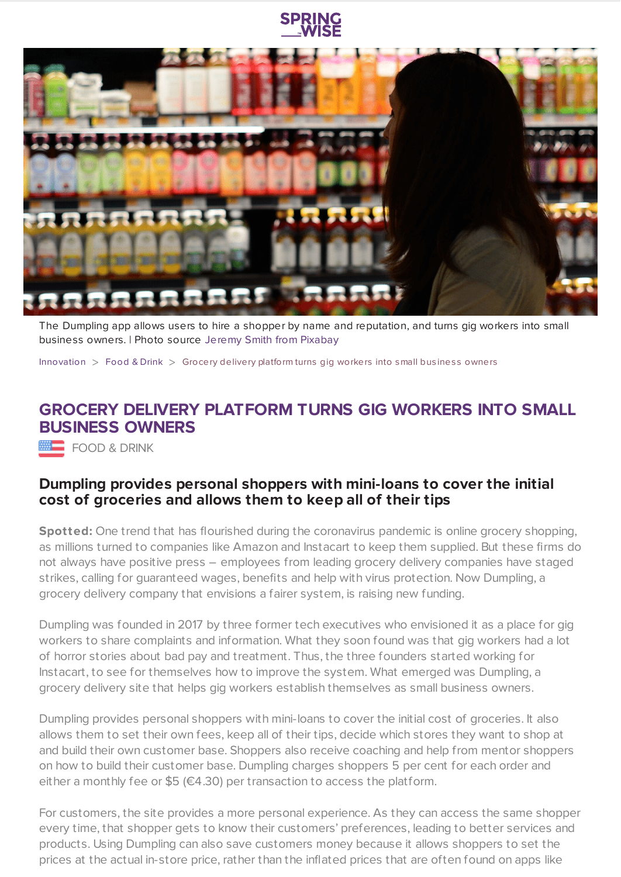

The Dumpling app allows users to hire a shopper by name and reputation, and turns gig workers into small business owners. | Photo source Jeremy Smith from [Pixabay](https://pixabay.com/)

[Innovation](https://www.springwise.com/search?type=innovation)  $>$  [Food](https://www.springwise.com/search?type=innovation§or=food-and-drink) & Drink  $>$  Grocery delivery platform turns gig workers into small business owners

## **GROCERY DELIVERY PLATFORM TURNS GIG WORKERS INTO SMALL BUSINESS OWNERS**

FOOD & DRINK

## **Dumpling provides personal shoppers with mini-loans to cover the initial cost of groceries and allows them to keep all of their tips**

**Spotted:** One trend that has flourished during the coronavirus pandemic is online grocery shopping, as millions turned to companies like Amazon and Instacart to keep them supplied. But these firms do not always have positive press – employees from leading grocery delivery companies have staged strikes, calling for guaranteed wages, benefits and help with virus protection. Now Dumpling, a grocery delivery company that envisions a fairer system, is raising new funding.

Dumpling was founded in 2017 by three former tech executives who envisioned it as a place for gig workers to share complaints and information. What they soon found was that gig workers had a lot of horror stories about bad pay and treatment. Thus, the three founders started working for Instacart, to see for themselves how to improve the system. What emerged was Dumpling, a grocery delivery site that helps gig workers establish themselves as small business owners.

Dumpling provides personal shoppers with mini-loans to cover the initial cost of groceries. It also allows them to set their own fees, keep all of their tips, decide which stores they want to shop at and build their own customer base. Shoppers also receive coaching and help from mentor shoppers on how to build their customer base. Dumpling charges shoppers 5 per cent for each order and either a monthly fee or \$5 ( $\in$ 4.30) per transaction to access the platform.

For customers, the site provides a more personal experience. As they can access the same shopper every time, that shopper gets to know their customers' preferences, leading to better services and products. Using Dumpling can also save customers money because it allows shoppers to set the prices at the actual in-store price, rather than the inflated prices that are often found on apps like